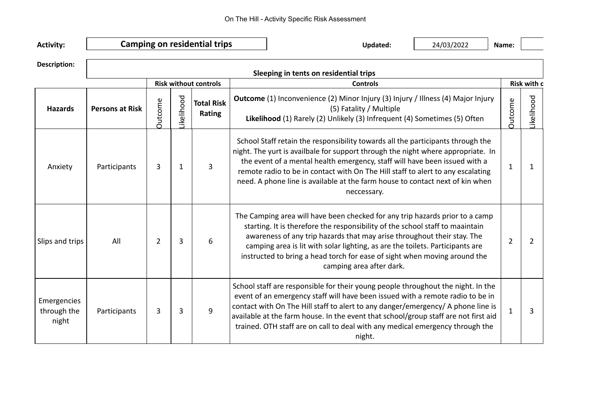| <b>Activity:</b>                    |                                        |                |                   | <b>Camping on residential trips</b> |                 | <b>Updated:</b>                                                                                                                                                                                                                                                                                                                                                                                                                          | 24/03/2022 | Name: |                    |  |  |  |  |
|-------------------------------------|----------------------------------------|----------------|-------------------|-------------------------------------|-----------------|------------------------------------------------------------------------------------------------------------------------------------------------------------------------------------------------------------------------------------------------------------------------------------------------------------------------------------------------------------------------------------------------------------------------------------------|------------|-------|--------------------|--|--|--|--|
| <b>Description:</b>                 | Sleeping in tents on residential trips |                |                   |                                     |                 |                                                                                                                                                                                                                                                                                                                                                                                                                                          |            |       |                    |  |  |  |  |
|                                     | <b>Risk without controls</b>           |                |                   |                                     | <b>Controls</b> |                                                                                                                                                                                                                                                                                                                                                                                                                                          |            |       | <b>Risk with c</b> |  |  |  |  |
| <b>Hazards</b>                      | <b>Persons at Risk</b>                 | <b>Outcome</b> | <b>Likelihood</b> | <b>Total Risk</b><br>Rating         |                 | <b>Outcome</b> (1) Inconvenience (2) Minor Injury (3) Injury / Illness (4) Major Injury<br>(5) Fatality / Multiple<br>Likelihood (1) Rarely (2) Unlikely (3) Infrequent (4) Sometimes (5) Often                                                                                                                                                                                                                                          |            |       | Likelihood         |  |  |  |  |
| Anxiety                             | Participants                           | 3              | 1                 | 3                                   |                 | School Staff retain the responsibility towards all the participants through the<br>night. The yurt is availbale for support through the night where appropriate. In<br>the event of a mental health emergency, staff will have been issued with a<br>remote radio to be in contact with On The Hill staff to alert to any escalating<br>need. A phone line is available at the farm house to contact next of kin when<br>neccessary.     |            |       | 1                  |  |  |  |  |
| Slips and trips                     | All                                    | $\overline{2}$ | 3                 | 6                                   |                 | The Camping area will have been checked for any trip hazards prior to a camp<br>starting. It is therefore the responsibility of the school staff to maaintain<br>awareness of any trip hazards that may arise throughout their stay. The<br>camping area is lit with solar lighting, as are the toilets. Participants are<br>instructed to bring a head torch for ease of sight when moving around the<br>camping area after dark.       |            | 2     | $\overline{2}$     |  |  |  |  |
| Emergencies<br>through the<br>night | Participants                           | 3              | 3                 | 9                                   |                 | School staff are responsible for their young people throughout the night. In the<br>event of an emergency staff will have been issued with a remote radio to be in<br>contact with On The Hill staff to alert to any danger/emergency/ A phone line is<br>available at the farm house. In the event that school/group staff are not first aid<br>trained. OTH staff are on call to deal with any medical emergency through the<br>night. |            |       | 3                  |  |  |  |  |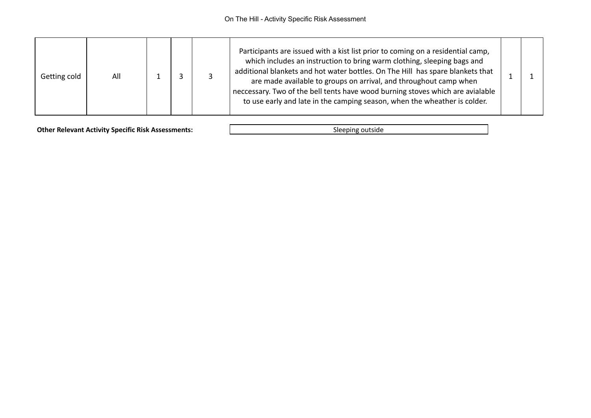| Getting cold | All |  |  |  | Participants are issued with a kist list prior to coming on a residential camp,<br>which includes an instruction to bring warm clothing, sleeping bags and<br>additional blankets and hot water bottles. On The Hill has spare blankets that<br>are made available to groups on arrival, and throughout camp when<br>neccessary. Two of the bell tents have wood burning stoves which are avialable<br>to use early and late in the camping season, when the wheather is colder. |  |  |
|--------------|-----|--|--|--|----------------------------------------------------------------------------------------------------------------------------------------------------------------------------------------------------------------------------------------------------------------------------------------------------------------------------------------------------------------------------------------------------------------------------------------------------------------------------------|--|--|
|--------------|-----|--|--|--|----------------------------------------------------------------------------------------------------------------------------------------------------------------------------------------------------------------------------------------------------------------------------------------------------------------------------------------------------------------------------------------------------------------------------------------------------------------------------------|--|--|

**Other Relevant Activity Specific Risk Assessments:** Sleeping outside Sleeping outside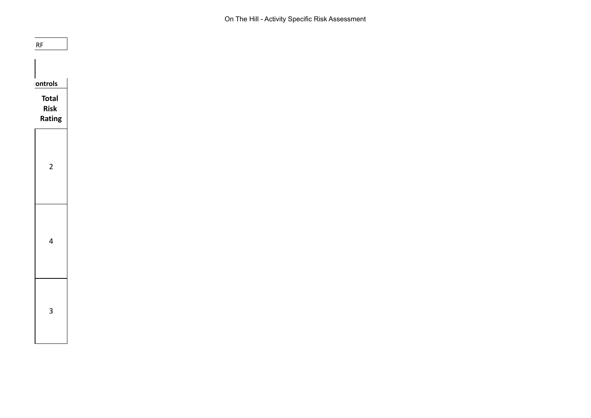On The Hill - Activity Specific Risk Assessment